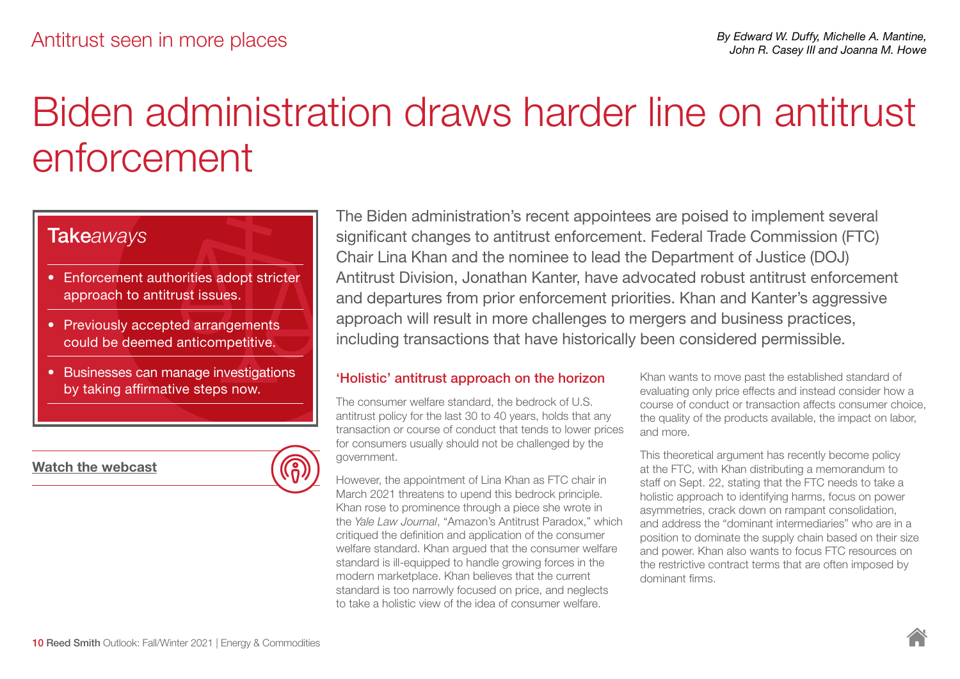# Biden administration draws harder line on antitrust enforcement

### Take*aways*

- Enforcement authorities adopt stricter approach to antitrust issues.
- Previously accepted arrangements could be deemed anticompetitive.
- Businesses can manage investigations by taking affirmative steps now.

[Watch the webcast](https://lumen.webcasts.com/starthere.jsp?ei=1493386&tp_key=bb6553bdf1)

The Biden administration's recent appointees are poised to implement several significant changes to antitrust enforcement. Federal Trade Commission (FTC) Chair Lina Khan and the nominee to lead the Department of Justice (DOJ) Antitrust Division, Jonathan Kanter, have advocated robust antitrust enforcement and departures from prior enforcement priorities. Khan and Kanter's aggressive approach will result in more challenges to mergers and business practices, including transactions that have historically been considered permissible.

#### 'Holistic' antitrust approach on the horizon

The consumer welfare standard, the bedrock of U.S. antitrust policy for the last 30 to 40 years, holds that any transaction or course of conduct that tends to lower prices for consumers usually should not be challenged by the government.

However, the appointment of Lina Khan as FTC chair in March 2021 threatens to upend this bedrock principle. Khan rose to prominence through a piece she wrote in the *Yale Law Journal*, "Amazon's Antitrust Paradox," which critiqued the definition and application of the consumer welfare standard. Khan argued that the consumer welfare standard is ill-equipped to handle growing forces in the modern marketplace. Khan believes that the current standard is too narrowly focused on price, and neglects to take a holistic view of the idea of consumer welfare.

Khan wants to move past the established standard of evaluating only price effects and instead consider how a course of conduct or transaction affects consumer choice, the quality of the products available, the impact on labor, and more.

This theoretical argument has recently become policy at the FTC, with Khan distributing a memorandum to staff on Sept. 22, stating that the FTC needs to take a holistic approach to identifying harms, focus on power asymmetries, crack down on rampant consolidation, and address the "dominant intermediaries" who are in a position to dominate the supply chain based on their size and power. Khan also wants to focus FTC resources on the restrictive contract terms that are often imposed by dominant firms.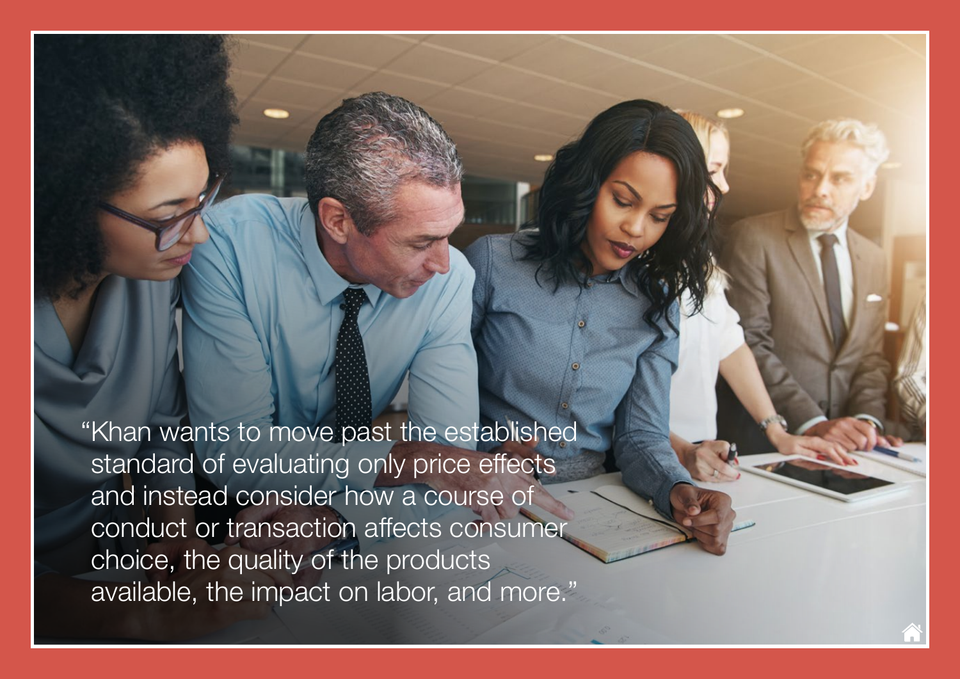"Khan wants to move past the established standard of evaluating only price effects and instead consider how a course of conduct or transaction affects consumer choice, the quality of the products available, the impact on labor, and more."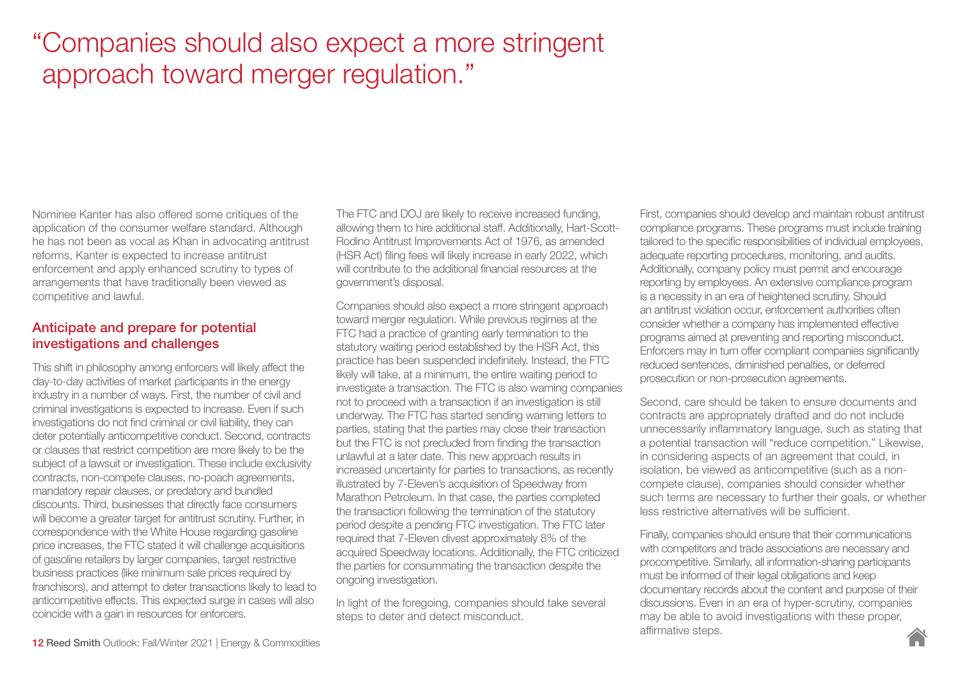## "Companies should also expect a more stringent approach toward merger regulation."

Nominee Kanter has also offered some critiques of the application of the consumer welfare standard. Although he has not been as vocal as Khan in advocating antitrust reforms, Kanter is expected to increase antitrust enforcement and apply enhanced scrutiny to types of arrangements that have traditionally been viewed as competitive and lawful.

#### Anticipate and prepare for potential investigations and challenges

This shift in philosophy among enforcers will likely affect the day-to-day activities of market participants in the energy industry in a number of ways. First, the number of civil and criminal investigations is expected to increase. Even if such investigations do not find criminal or civil liability, they can deter potentially anticompetitive conduct. Second, contracts or clauses that restrict competition are more likely to be the subject of a lawsuit or investigation. These include exclusivity contracts, non-compete clauses, no-poach agreements, mandatory repair clauses, or predatory and bundled discounts. Third, businesses that directly face consumers will become a greater target for antitrust scrutiny. Further, in correspondence with the White House regarding gasoline price increases, the FTC stated it will challenge acquisitions of gasoline retailers by larger companies, target restrictive business practices (like minimum sale prices required by franchisors), and attempt to deter transactions likely to lead to anticompetitive effects. This expected surge in cases will also coincide with a gain in resources for enforcers.

The FTC and DOJ are likely to receive increased funding, allowing them to hire additional staff. Additionally, Hart-Scott-Rodino Antitrust Improvements Act of 1976, as amended (HSR Act) filing fees will likely increase in early 2022, which will contribute to the additional financial resources at the government's disposal.

Companies should also expect a more stringent approach toward merger regulation. While previous regimes at the FTC had a practice of granting early termination to the statutory waiting period established by the HSR Act, this practice has been suspended indefinitely. Instead, the FTC likely will take, at a minimum, the entire waiting period to investigate a transaction. The FTC is also warning companies not to proceed with a transaction if an investigation is still underway. The FTC has started sending warning letters to parties, stating that the parties may close their transaction but the FTC is not precluded from finding the transaction unlawful at a later date. This new approach results in increased uncertainty for parties to transactions, as recently illustrated by 7-Eleven's acquisition of Speedway from Marathon Petroleum. In that case, the parties completed the transaction following the termination of the statutory period despite a pending FTC investigation. The FTC later required that 7-Eleven divest approximately 8% of the acquired Speedway locations. Additionally, the FTC criticized the parties for consummating the transaction despite the ongoing investigation.

In light of the foregoing, companies should take several steps to deter and detect misconduct.

First, companies should develop and maintain robust antitrust compliance programs. These programs must include training tailored to the specific responsibilities of individual employees, adequate reporting procedures, monitoring, and audits. Additionally, company policy must permit and encourage reporting by employees. An extensive compliance program is a necessity in an era of heightened scrutiny. Should an antitrust violation occur, enforcement authorities often consider whether a company has implemented effective programs aimed at preventing and reporting misconduct. Enforcers may in turn offer compliant companies significantly reduced sentences, diminished penalties, or deferred prosecution or non-prosecution agreements.

Second, care should be taken to ensure documents and contracts are appropriately drafted and do not include unnecessarily inflammatory language, such as stating that a potential transaction will "reduce competition." Likewise, in considering aspects of an agreement that could, in isolation, be viewed as anticompetitive (such as a noncompete clause), companies should consider whether such terms are necessary to further their goals, or whether less restrictive alternatives will be sufficient.

Finally, companies should ensure that their communications with competitors and trade associations are necessary and procompetitive. Similarly, all information-sharing participants must be informed of their legal obligations and keep documentary records about the content and purpose of their discussions. Even in an era of hyper-scrutiny, companies may be able to avoid investigations with these proper, affirmative steps.